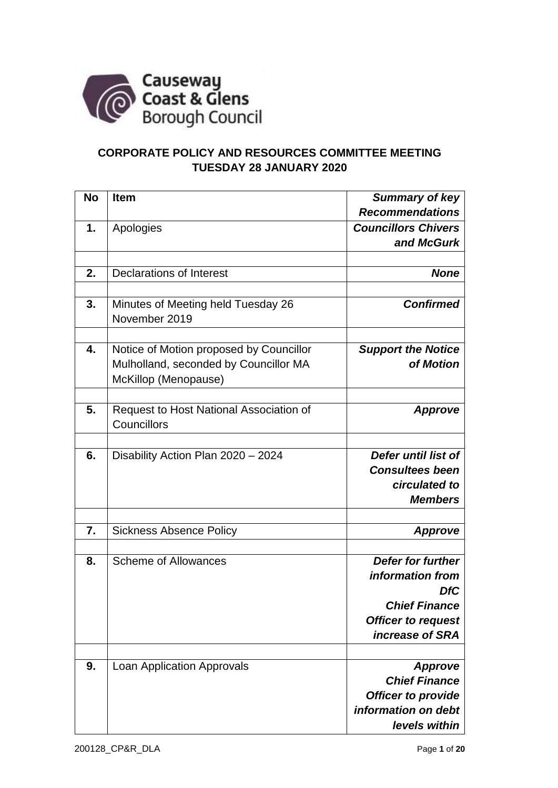

## **CORPORATE POLICY AND RESOURCES COMMITTEE MEETING TUESDAY 28 JANUARY 2020**

| <b>No</b> | <b>Item</b>                             | Summary of key             |
|-----------|-----------------------------------------|----------------------------|
|           |                                         | <b>Recommendations</b>     |
| 1.        | Apologies                               | <b>Councillors Chivers</b> |
|           |                                         | and McGurk                 |
|           |                                         |                            |
| 2.        | <b>Declarations of Interest</b>         | <b>None</b>                |
|           |                                         |                            |
| 3.        | Minutes of Meeting held Tuesday 26      | <b>Confirmed</b>           |
|           | November 2019                           |                            |
|           |                                         |                            |
| 4.        | Notice of Motion proposed by Councillor | <b>Support the Notice</b>  |
|           | Mulholland, seconded by Councillor MA   | of Motion                  |
|           | McKillop (Menopause)                    |                            |
|           |                                         |                            |
| 5.        | Request to Host National Association of | <b>Approve</b>             |
|           | Councillors                             |                            |
|           |                                         |                            |
| 6.        | Disability Action Plan 2020 - 2024      | Defer until list of        |
|           |                                         | <b>Consultees been</b>     |
|           |                                         | circulated to              |
|           |                                         | <b>Members</b>             |
|           |                                         |                            |
| 7.        | <b>Sickness Absence Policy</b>          | <b>Approve</b>             |
|           |                                         |                            |
| 8.        | <b>Scheme of Allowances</b>             | <b>Defer for further</b>   |
|           |                                         | information from           |
|           |                                         | <b>DfC</b>                 |
|           |                                         | <b>Chief Finance</b>       |
|           |                                         | <b>Officer to request</b>  |
|           |                                         | increase of SRA            |
|           |                                         |                            |
| 9.        | <b>Loan Application Approvals</b>       | <b>Approve</b>             |
|           |                                         | <b>Chief Finance</b>       |
|           |                                         | <b>Officer to provide</b>  |
|           |                                         | information on debt        |
|           |                                         | levels within              |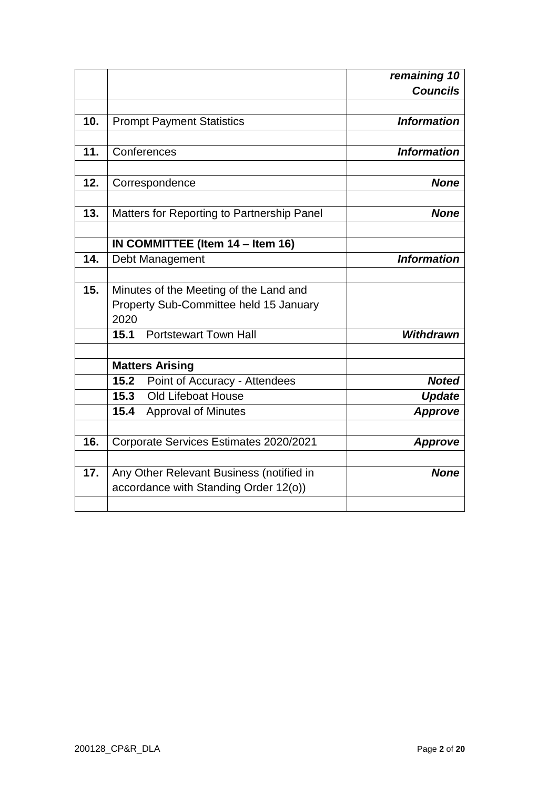|     |                                                                                   | remaining 10       |
|-----|-----------------------------------------------------------------------------------|--------------------|
|     |                                                                                   | <b>Councils</b>    |
|     |                                                                                   |                    |
| 10. | <b>Prompt Payment Statistics</b>                                                  | <b>Information</b> |
| 11. | Conferences                                                                       | <b>Information</b> |
|     |                                                                                   |                    |
| 12. | Correspondence                                                                    | <b>None</b>        |
| 13. | Matters for Reporting to Partnership Panel                                        | <b>None</b>        |
|     | IN COMMITTEE (Item 14 - Item 16)                                                  |                    |
| 14. | Debt Management                                                                   | <b>Information</b> |
|     |                                                                                   |                    |
| 15. | Minutes of the Meeting of the Land and                                            |                    |
|     | Property Sub-Committee held 15 January                                            |                    |
|     | 2020                                                                              |                    |
|     | <b>Portstewart Town Hall</b><br>15.1                                              | <b>Withdrawn</b>   |
|     | <b>Matters Arising</b>                                                            |                    |
|     | 15.2<br>Point of Accuracy - Attendees                                             | <b>Noted</b>       |
|     | <b>Old Lifeboat House</b><br>15.3                                                 | <b>Update</b>      |
|     | 15.4<br><b>Approval of Minutes</b>                                                | <b>Approve</b>     |
|     |                                                                                   |                    |
| 16. | Corporate Services Estimates 2020/2021                                            | <b>Approve</b>     |
| 17. | Any Other Relevant Business (notified in<br>accordance with Standing Order 12(o)) | <b>None</b>        |
|     |                                                                                   |                    |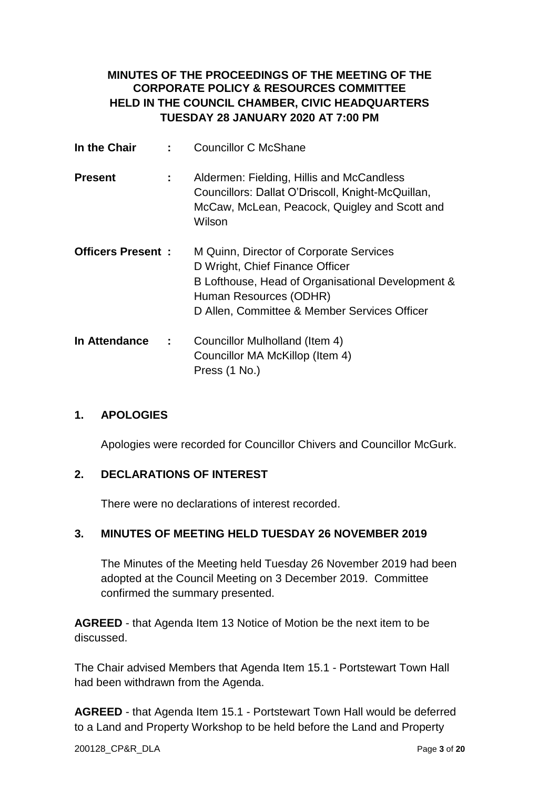## **MINUTES OF THE PROCEEDINGS OF THE MEETING OF THE CORPORATE POLICY & RESOURCES COMMITTEE HELD IN THE COUNCIL CHAMBER, CIVIC HEADQUARTERS TUESDAY 28 JANUARY 2020 AT 7:00 PM**

| In the Chair             | ÷ | <b>Councillor C McShane</b>                                                                                                                                                                               |
|--------------------------|---|-----------------------------------------------------------------------------------------------------------------------------------------------------------------------------------------------------------|
| <b>Present</b>           | ÷ | Aldermen: Fielding, Hillis and McCandless<br>Councillors: Dallat O'Driscoll, Knight-McQuillan,<br>McCaw, McLean, Peacock, Quigley and Scott and<br>Wilson                                                 |
| <b>Officers Present:</b> |   | M Quinn, Director of Corporate Services<br>D Wright, Chief Finance Officer<br>B Lofthouse, Head of Organisational Development &<br>Human Resources (ODHR)<br>D Allen, Committee & Member Services Officer |
| In Attendance            | ÷ | Councillor Mulholland (Item 4)<br>Councillor MA McKillop (Item 4)<br>Press (1 No.)                                                                                                                        |

### **1. APOLOGIES**

Apologies were recorded for Councillor Chivers and Councillor McGurk.

#### **2. DECLARATIONS OF INTEREST**

There were no declarations of interest recorded.

#### **3. MINUTES OF MEETING HELD TUESDAY 26 NOVEMBER 2019**

The Minutes of the Meeting held Tuesday 26 November 2019 had been adopted at the Council Meeting on 3 December 2019. Committee confirmed the summary presented.

**AGREED** - that Agenda Item 13 Notice of Motion be the next item to be discussed.

The Chair advised Members that Agenda Item 15.1 - Portstewart Town Hall had been withdrawn from the Agenda.

**AGREED** - that Agenda Item 15.1 - Portstewart Town Hall would be deferred to a Land and Property Workshop to be held before the Land and Property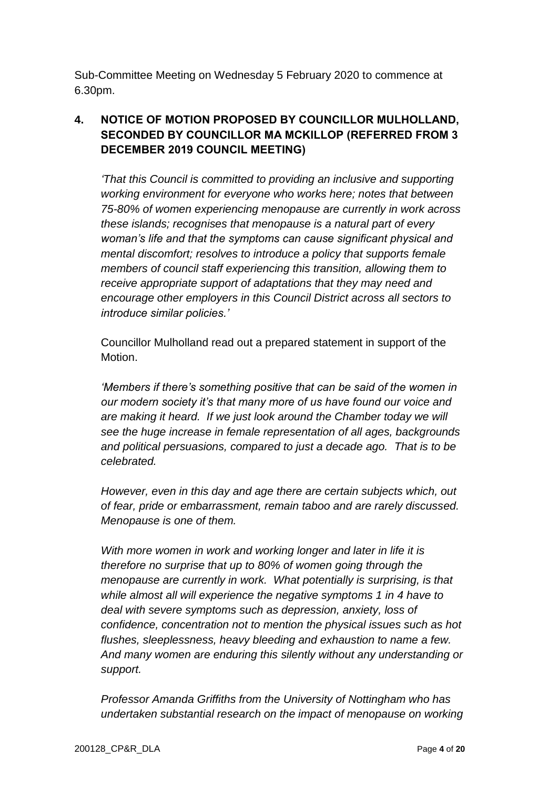Sub-Committee Meeting on Wednesday 5 February 2020 to commence at 6.30pm.

# **4. NOTICE OF MOTION PROPOSED BY COUNCILLOR MULHOLLAND, SECONDED BY COUNCILLOR MA MCKILLOP (REFERRED FROM 3 DECEMBER 2019 COUNCIL MEETING)**

*'That this Council is committed to providing an inclusive and supporting working environment for everyone who works here; notes that between 75-80% of women experiencing menopause are currently in work across these islands; recognises that menopause is a natural part of every woman's life and that the symptoms can cause significant physical and mental discomfort; resolves to introduce a policy that supports female members of council staff experiencing this transition, allowing them to receive appropriate support of adaptations that they may need and encourage other employers in this Council District across all sectors to introduce similar policies.'*

Councillor Mulholland read out a prepared statement in support of the Motion.

*'Members if there's something positive that can be said of the women in our modern society it's that many more of us have found our voice and are making it heard. If we just look around the Chamber today we will see the huge increase in female representation of all ages, backgrounds and political persuasions, compared to just a decade ago. That is to be celebrated.*

*However, even in this day and age there are certain subjects which, out of fear, pride or embarrassment, remain taboo and are rarely discussed. Menopause is one of them.*

*With more women in work and working longer and later in life it is therefore no surprise that up to 80% of women going through the menopause are currently in work. What potentially is surprising, is that while almost all will experience the negative symptoms 1 in 4 have to deal with severe symptoms such as depression, anxiety, loss of confidence, concentration not to mention the physical issues such as hot flushes, sleeplessness, heavy bleeding and exhaustion to name a few. And many women are enduring this silently without any understanding or support.*

*Professor Amanda Griffiths from the University of Nottingham who has undertaken substantial research on the impact of menopause on working*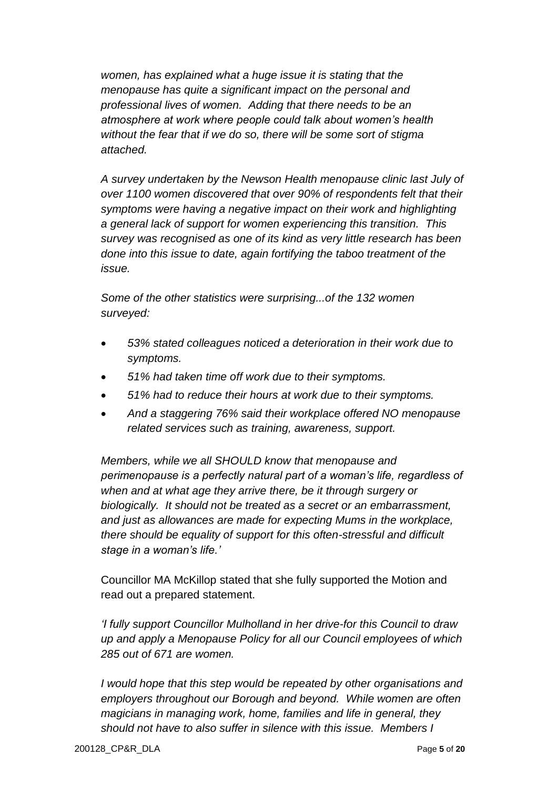*women, has explained what a huge issue it is stating that the menopause has quite a significant impact on the personal and professional lives of women. Adding that there needs to be an atmosphere at work where people could talk about women's health without the fear that if we do so, there will be some sort of stigma attached.*

*A survey undertaken by the Newson Health menopause clinic last July of over 1100 women discovered that over 90% of respondents felt that their symptoms were having a negative impact on their work and highlighting a general lack of support for women experiencing this transition. This survey was recognised as one of its kind as very little research has been done into this issue to date, again fortifying the taboo treatment of the issue.*

*Some of the other statistics were surprising...of the 132 women surveyed:*

- *53% stated colleagues noticed a deterioration in their work due to symptoms.*
- *51% had taken time off work due to their symptoms.*
- *51% had to reduce their hours at work due to their symptoms.*
- *And a staggering 76% said their workplace offered NO menopause related services such as training, awareness, support.*

*Members, while we all SHOULD know that menopause and perimenopause is a perfectly natural part of a woman's life, regardless of when and at what age they arrive there, be it through surgery or biologically. It should not be treated as a secret or an embarrassment, and just as allowances are made for expecting Mums in the workplace, there should be equality of support for this often-stressful and difficult stage in a woman's life.'*

Councillor MA McKillop stated that she fully supported the Motion and read out a prepared statement.

*'I fully support Councillor Mulholland in her drive-for this Council to draw up and apply a Menopause Policy for all our Council employees of which 285 out of 671 are women.*

*I would hope that this step would be repeated by other organisations and employers throughout our Borough and beyond. While women are often magicians in managing work, home, families and life in general, they should not have to also suffer in silence with this issue. Members I*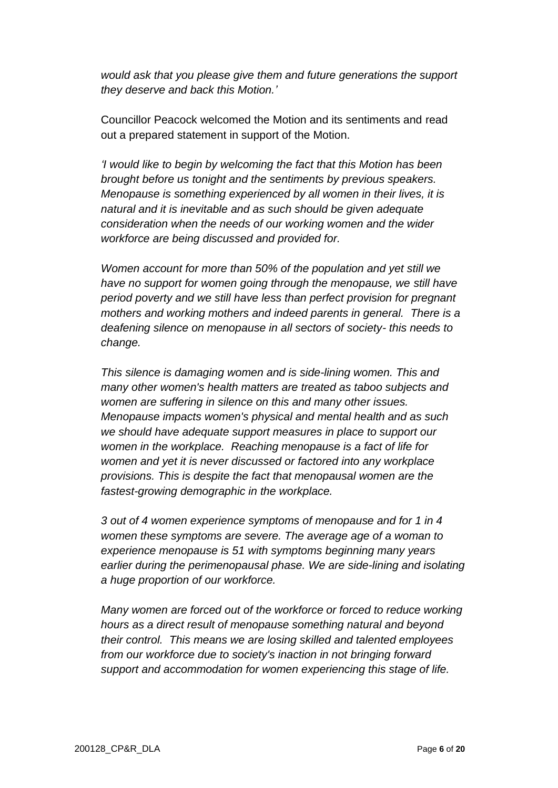*would ask that you please give them and future generations the support they deserve and back this Motion.'*

Councillor Peacock welcomed the Motion and its sentiments and read out a prepared statement in support of the Motion.

*'I would like to begin by welcoming the fact that this Motion has been brought before us tonight and the sentiments by previous speakers. Menopause is something experienced by all women in their lives, it is natural and it is inevitable and as such should be given adequate consideration when the needs of our working women and the wider workforce are being discussed and provided for.*

*Women account for more than 50% of the population and yet still we have no support for women going through the menopause, we still have period poverty and we still have less than perfect provision for pregnant mothers and working mothers and indeed parents in general. There is a deafening silence on menopause in all sectors of society- this needs to change.*

*This silence is damaging women and is side-lining women. This and many other women's health matters are treated as taboo subjects and women are suffering in silence on this and many other issues. Menopause impacts women's physical and mental health and as such we should have adequate support measures in place to support our women in the workplace. Reaching menopause is a fact of life for women and yet it is never discussed or factored into any workplace provisions. This is despite the fact that menopausal women are the fastest-growing demographic in the workplace.*

*3 out of 4 women experience symptoms of menopause and for 1 in 4 women these symptoms are severe. The average age of a woman to experience menopause is 51 with symptoms beginning many years earlier during the perimenopausal phase. We are side-lining and isolating a huge proportion of our workforce.*

*Many women are forced out of the workforce or forced to reduce working hours as a direct result of menopause something natural and beyond their control. This means we are losing skilled and talented employees from our workforce due to society's inaction in not bringing forward support and accommodation for women experiencing this stage of life.*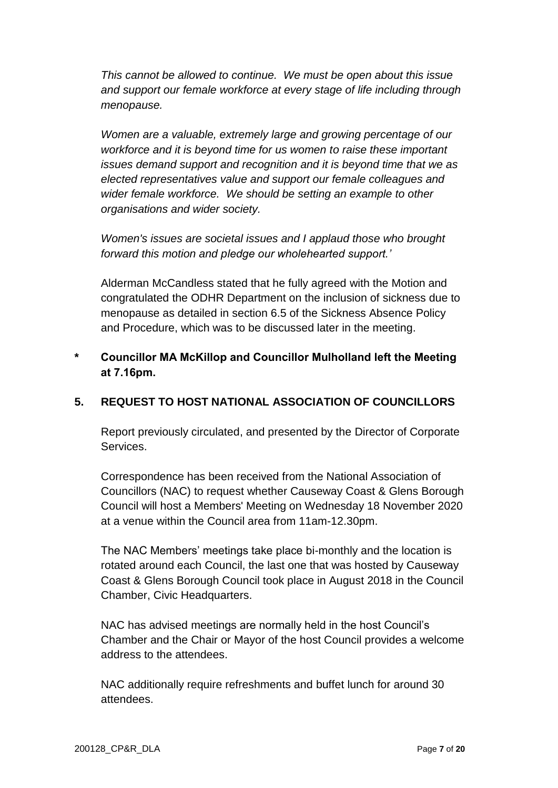*This cannot be allowed to continue. We must be open about this issue and support our female workforce at every stage of life including through menopause.*

*Women are a valuable, extremely large and growing percentage of our workforce and it is beyond time for us women to raise these important issues demand support and recognition and it is beyond time that we as elected representatives value and support our female colleagues and wider female workforce. We should be setting an example to other organisations and wider society.*

*Women's issues are societal issues and I applaud those who brought forward this motion and pledge our wholehearted support.'*

Alderman McCandless stated that he fully agreed with the Motion and congratulated the ODHR Department on the inclusion of sickness due to menopause as detailed in section 6.5 of the Sickness Absence Policy and Procedure, which was to be discussed later in the meeting.

## **\* Councillor MA McKillop and Councillor Mulholland left the Meeting at 7.16pm.**

## **5. REQUEST TO HOST NATIONAL ASSOCIATION OF COUNCILLORS**

Report previously circulated, and presented by the Director of Corporate Services.

Correspondence has been received from the National Association of Councillors (NAC) to request whether Causeway Coast & Glens Borough Council will host a Members' Meeting on Wednesday 18 November 2020 at a venue within the Council area from 11am-12.30pm.

The NAC Members' meetings take place bi-monthly and the location is rotated around each Council, the last one that was hosted by Causeway Coast & Glens Borough Council took place in August 2018 in the Council Chamber, Civic Headquarters.

NAC has advised meetings are normally held in the host Council's Chamber and the Chair or Mayor of the host Council provides a welcome address to the attendees.

NAC additionally require refreshments and buffet lunch for around 30 attendees.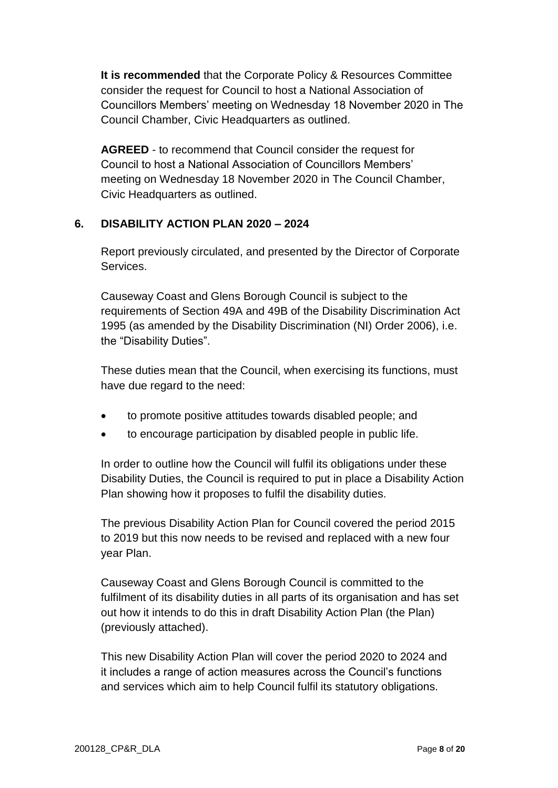**It is recommended** that the Corporate Policy & Resources Committee consider the request for Council to host a National Association of Councillors Members' meeting on Wednesday 18 November 2020 in The Council Chamber, Civic Headquarters as outlined.

**AGREED** - to recommend that Council consider the request for Council to host a National Association of Councillors Members' meeting on Wednesday 18 November 2020 in The Council Chamber, Civic Headquarters as outlined.

#### **6. DISABILITY ACTION PLAN 2020 – 2024**

Report previously circulated, and presented by the Director of Corporate Services.

Causeway Coast and Glens Borough Council is subject to the requirements of Section 49A and 49B of the Disability Discrimination Act 1995 (as amended by the Disability Discrimination (NI) Order 2006), i.e. the "Disability Duties".

These duties mean that the Council, when exercising its functions, must have due regard to the need:

- to promote positive attitudes towards disabled people; and
- to encourage participation by disabled people in public life.

In order to outline how the Council will fulfil its obligations under these Disability Duties, the Council is required to put in place a Disability Action Plan showing how it proposes to fulfil the disability duties.

The previous Disability Action Plan for Council covered the period 2015 to 2019 but this now needs to be revised and replaced with a new four year Plan.

Causeway Coast and Glens Borough Council is committed to the fulfilment of its disability duties in all parts of its organisation and has set out how it intends to do this in draft Disability Action Plan (the Plan) (previously attached).

This new Disability Action Plan will cover the period 2020 to 2024 and it includes a range of action measures across the Council's functions and services which aim to help Council fulfil its statutory obligations.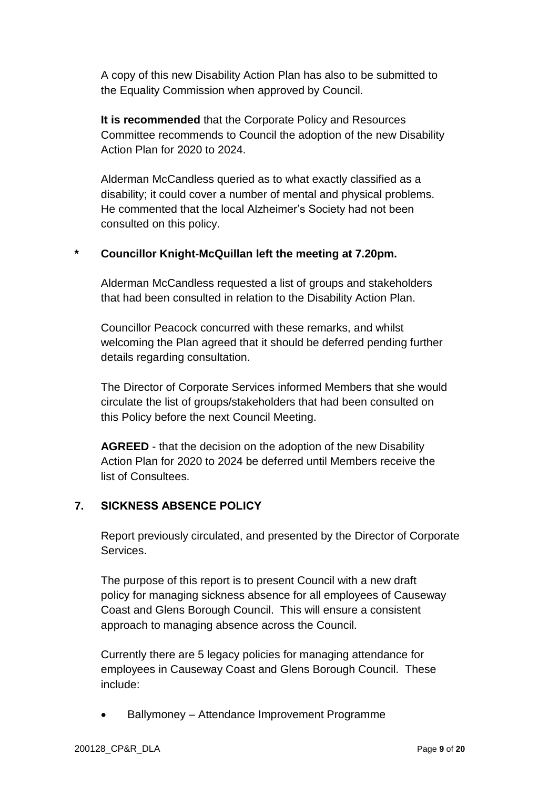A copy of this new Disability Action Plan has also to be submitted to the Equality Commission when approved by Council.

**It is recommended** that the Corporate Policy and Resources Committee recommends to Council the adoption of the new Disability Action Plan for 2020 to 2024.

Alderman McCandless queried as to what exactly classified as a disability; it could cover a number of mental and physical problems. He commented that the local Alzheimer's Society had not been consulted on this policy.

### **\* Councillor Knight-McQuillan left the meeting at 7.20pm.**

Alderman McCandless requested a list of groups and stakeholders that had been consulted in relation to the Disability Action Plan.

Councillor Peacock concurred with these remarks, and whilst welcoming the Plan agreed that it should be deferred pending further details regarding consultation.

The Director of Corporate Services informed Members that she would circulate the list of groups/stakeholders that had been consulted on this Policy before the next Council Meeting.

**AGREED** - that the decision on the adoption of the new Disability Action Plan for 2020 to 2024 be deferred until Members receive the list of Consultees.

## **7. SICKNESS ABSENCE POLICY**

Report previously circulated, and presented by the Director of Corporate Services.

The purpose of this report is to present Council with a new draft policy for managing sickness absence for all employees of Causeway Coast and Glens Borough Council. This will ensure a consistent approach to managing absence across the Council.

Currently there are 5 legacy policies for managing attendance for employees in Causeway Coast and Glens Borough Council. These include:

Ballymoney – Attendance Improvement Programme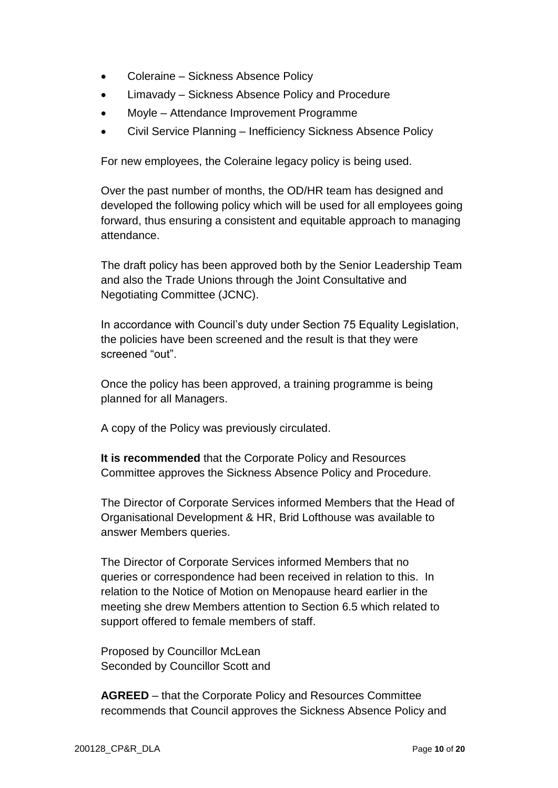- Coleraine Sickness Absence Policy
- Limavady Sickness Absence Policy and Procedure
- Moyle Attendance Improvement Programme
- Civil Service Planning Inefficiency Sickness Absence Policy

For new employees, the Coleraine legacy policy is being used.

Over the past number of months, the OD/HR team has designed and developed the following policy which will be used for all employees going forward, thus ensuring a consistent and equitable approach to managing attendance.

The draft policy has been approved both by the Senior Leadership Team and also the Trade Unions through the Joint Consultative and Negotiating Committee (JCNC).

In accordance with Council's duty under Section 75 Equality Legislation, the policies have been screened and the result is that they were screened "out".

Once the policy has been approved, a training programme is being planned for all Managers.

A copy of the Policy was previously circulated.

**It is recommended** that the Corporate Policy and Resources Committee approves the Sickness Absence Policy and Procedure.

The Director of Corporate Services informed Members that the Head of Organisational Development & HR, Brid Lofthouse was available to answer Members queries.

The Director of Corporate Services informed Members that no queries or correspondence had been received in relation to this. In relation to the Notice of Motion on Menopause heard earlier in the meeting she drew Members attention to Section 6.5 which related to support offered to female members of staff.

Proposed by Councillor McLean Seconded by Councillor Scott and

**AGREED** – that the Corporate Policy and Resources Committee recommends that Council approves the Sickness Absence Policy and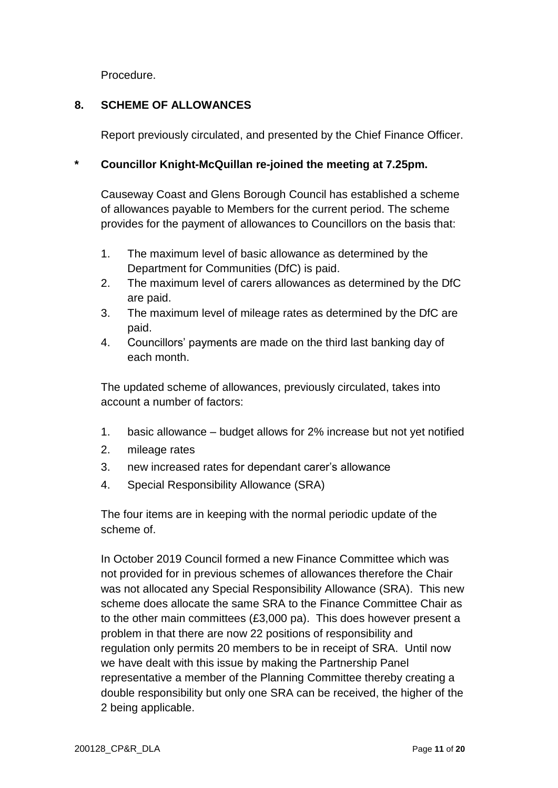Procedure.

## **8. SCHEME OF ALLOWANCES**

Report previously circulated, and presented by the Chief Finance Officer.

### **\* Councillor Knight-McQuillan re-joined the meeting at 7.25pm.**

Causeway Coast and Glens Borough Council has established a scheme of allowances payable to Members for the current period. The scheme provides for the payment of allowances to Councillors on the basis that:

- 1. The maximum level of basic allowance as determined by the Department for Communities (DfC) is paid.
- 2. The maximum level of carers allowances as determined by the DfC are paid.
- 3. The maximum level of mileage rates as determined by the DfC are paid.
- 4. Councillors' payments are made on the third last banking day of each month.

The updated scheme of allowances, previously circulated, takes into account a number of factors:

- 1. basic allowance budget allows for 2% increase but not yet notified
- 2. mileage rates
- 3. new increased rates for dependant carer's allowance
- 4. Special Responsibility Allowance (SRA)

The four items are in keeping with the normal periodic update of the scheme of.

In October 2019 Council formed a new Finance Committee which was not provided for in previous schemes of allowances therefore the Chair was not allocated any Special Responsibility Allowance (SRA). This new scheme does allocate the same SRA to the Finance Committee Chair as to the other main committees (£3,000 pa). This does however present a problem in that there are now 22 positions of responsibility and regulation only permits 20 members to be in receipt of SRA. Until now we have dealt with this issue by making the Partnership Panel representative a member of the Planning Committee thereby creating a double responsibility but only one SRA can be received, the higher of the 2 being applicable.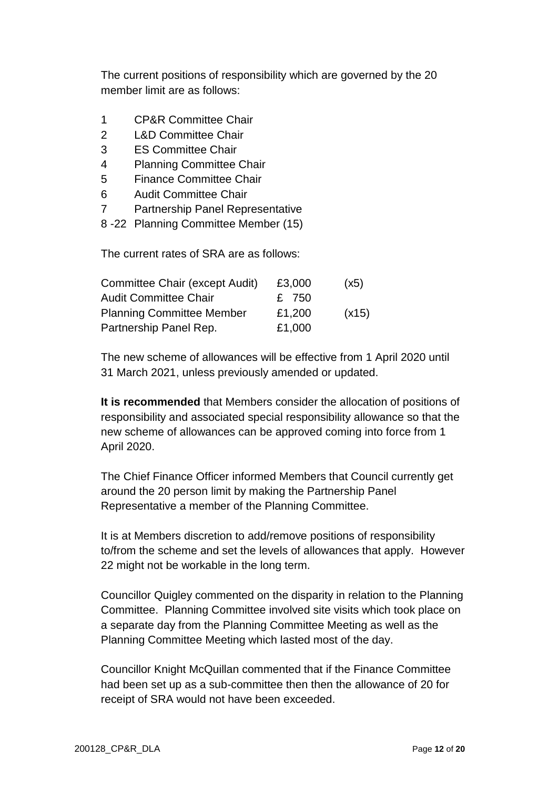The current positions of responsibility which are governed by the 20 member limit are as follows:

- 1 CP&R Committee Chair
- 2 L&D Committee Chair
- 3 ES Committee Chair
- 4 Planning Committee Chair
- 5 Finance Committee Chair
- 6 Audit Committee Chair
- 7 Partnership Panel Representative
- 8 -22 Planning Committee Member (15)

The current rates of SRA are as follows:

| Committee Chair (except Audit)   | £3,000 | (x5)  |
|----------------------------------|--------|-------|
| <b>Audit Committee Chair</b>     | £ 750  |       |
| <b>Planning Committee Member</b> | £1,200 | (x15) |
| Partnership Panel Rep.           | £1,000 |       |

The new scheme of allowances will be effective from 1 April 2020 until 31 March 2021, unless previously amended or updated.

**It is recommended** that Members consider the allocation of positions of responsibility and associated special responsibility allowance so that the new scheme of allowances can be approved coming into force from 1 April 2020.

The Chief Finance Officer informed Members that Council currently get around the 20 person limit by making the Partnership Panel Representative a member of the Planning Committee.

It is at Members discretion to add/remove positions of responsibility to/from the scheme and set the levels of allowances that apply. However 22 might not be workable in the long term.

Councillor Quigley commented on the disparity in relation to the Planning Committee. Planning Committee involved site visits which took place on a separate day from the Planning Committee Meeting as well as the Planning Committee Meeting which lasted most of the day.

Councillor Knight McQuillan commented that if the Finance Committee had been set up as a sub-committee then then the allowance of 20 for receipt of SRA would not have been exceeded.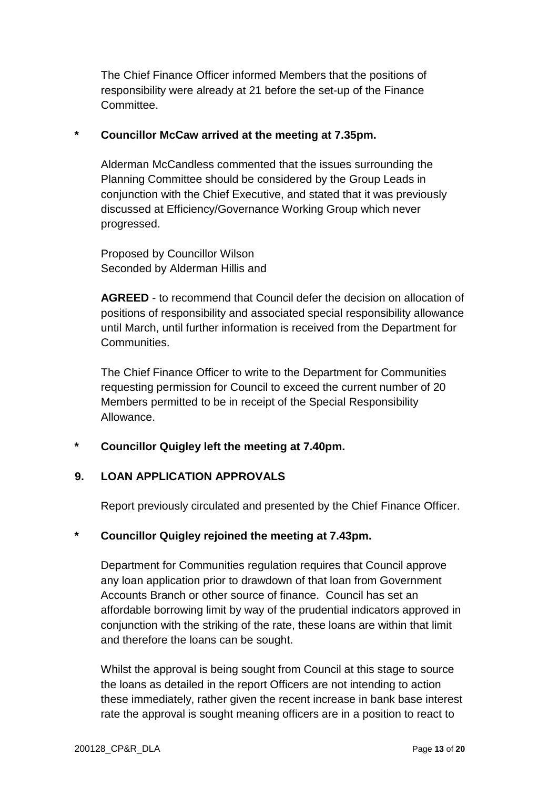The Chief Finance Officer informed Members that the positions of responsibility were already at 21 before the set-up of the Finance Committee.

#### **\* Councillor McCaw arrived at the meeting at 7.35pm.**

Alderman McCandless commented that the issues surrounding the Planning Committee should be considered by the Group Leads in conjunction with the Chief Executive, and stated that it was previously discussed at Efficiency/Governance Working Group which never progressed.

Proposed by Councillor Wilson Seconded by Alderman Hillis and

**AGREED** - to recommend that Council defer the decision on allocation of positions of responsibility and associated special responsibility allowance until March, until further information is received from the Department for Communities.

The Chief Finance Officer to write to the Department for Communities requesting permission for Council to exceed the current number of 20 Members permitted to be in receipt of the Special Responsibility Allowance.

## **\* Councillor Quigley left the meeting at 7.40pm.**

#### **9. LOAN APPLICATION APPROVALS**

Report previously circulated and presented by the Chief Finance Officer.

#### **\* Councillor Quigley rejoined the meeting at 7.43pm.**

Department for Communities regulation requires that Council approve any loan application prior to drawdown of that loan from Government Accounts Branch or other source of finance. Council has set an affordable borrowing limit by way of the prudential indicators approved in conjunction with the striking of the rate, these loans are within that limit and therefore the loans can be sought.

Whilst the approval is being sought from Council at this stage to source the loans as detailed in the report Officers are not intending to action these immediately, rather given the recent increase in bank base interest rate the approval is sought meaning officers are in a position to react to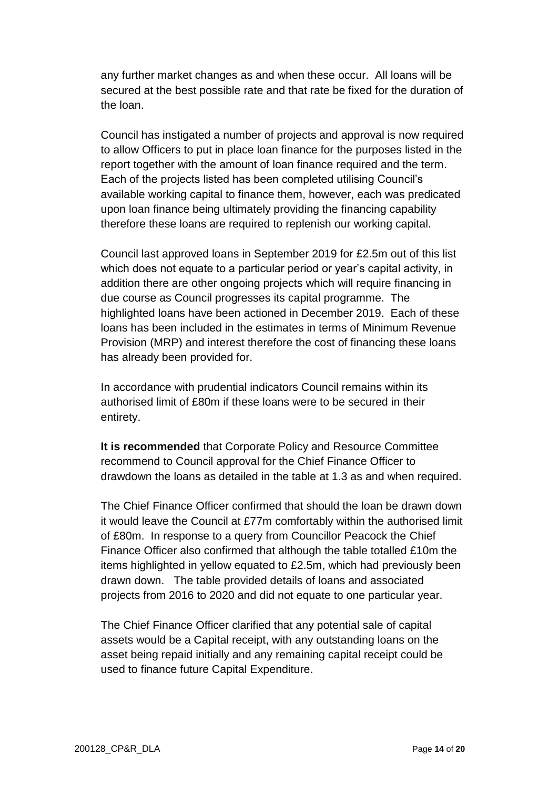any further market changes as and when these occur. All loans will be secured at the best possible rate and that rate be fixed for the duration of the loan.

Council has instigated a number of projects and approval is now required to allow Officers to put in place loan finance for the purposes listed in the report together with the amount of loan finance required and the term. Each of the projects listed has been completed utilising Council's available working capital to finance them, however, each was predicated upon loan finance being ultimately providing the financing capability therefore these loans are required to replenish our working capital.

Council last approved loans in September 2019 for £2.5m out of this list which does not equate to a particular period or year's capital activity, in addition there are other ongoing projects which will require financing in due course as Council progresses its capital programme. The highlighted loans have been actioned in December 2019. Each of these loans has been included in the estimates in terms of Minimum Revenue Provision (MRP) and interest therefore the cost of financing these loans has already been provided for.

In accordance with prudential indicators Council remains within its authorised limit of £80m if these loans were to be secured in their entirety.

**It is recommended** that Corporate Policy and Resource Committee recommend to Council approval for the Chief Finance Officer to drawdown the loans as detailed in the table at 1.3 as and when required.

The Chief Finance Officer confirmed that should the loan be drawn down it would leave the Council at £77m comfortably within the authorised limit of £80m. In response to a query from Councillor Peacock the Chief Finance Officer also confirmed that although the table totalled £10m the items highlighted in yellow equated to £2.5m, which had previously been drawn down. The table provided details of loans and associated projects from 2016 to 2020 and did not equate to one particular year.

The Chief Finance Officer clarified that any potential sale of capital assets would be a Capital receipt, with any outstanding loans on the asset being repaid initially and any remaining capital receipt could be used to finance future Capital Expenditure.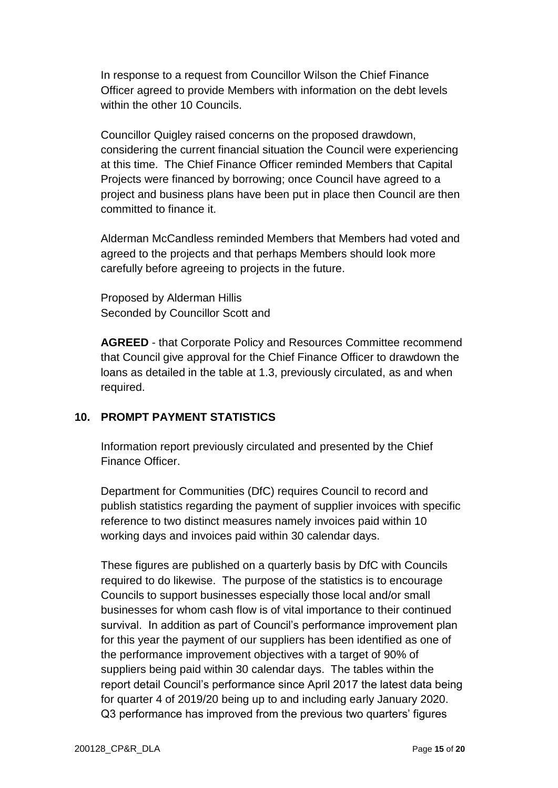In response to a request from Councillor Wilson the Chief Finance Officer agreed to provide Members with information on the debt levels within the other 10 Councils.

Councillor Quigley raised concerns on the proposed drawdown, considering the current financial situation the Council were experiencing at this time. The Chief Finance Officer reminded Members that Capital Projects were financed by borrowing; once Council have agreed to a project and business plans have been put in place then Council are then committed to finance it.

Alderman McCandless reminded Members that Members had voted and agreed to the projects and that perhaps Members should look more carefully before agreeing to projects in the future.

Proposed by Alderman Hillis Seconded by Councillor Scott and

**AGREED** - that Corporate Policy and Resources Committee recommend that Council give approval for the Chief Finance Officer to drawdown the loans as detailed in the table at 1.3, previously circulated, as and when required.

## **10. PROMPT PAYMENT STATISTICS**

Information report previously circulated and presented by the Chief Finance Officer.

Department for Communities (DfC) requires Council to record and publish statistics regarding the payment of supplier invoices with specific reference to two distinct measures namely invoices paid within 10 working days and invoices paid within 30 calendar days.

These figures are published on a quarterly basis by DfC with Councils required to do likewise. The purpose of the statistics is to encourage Councils to support businesses especially those local and/or small businesses for whom cash flow is of vital importance to their continued survival. In addition as part of Council's performance improvement plan for this year the payment of our suppliers has been identified as one of the performance improvement objectives with a target of 90% of suppliers being paid within 30 calendar days. The tables within the report detail Council's performance since April 2017 the latest data being for quarter 4 of 2019/20 being up to and including early January 2020. Q3 performance has improved from the previous two quarters' figures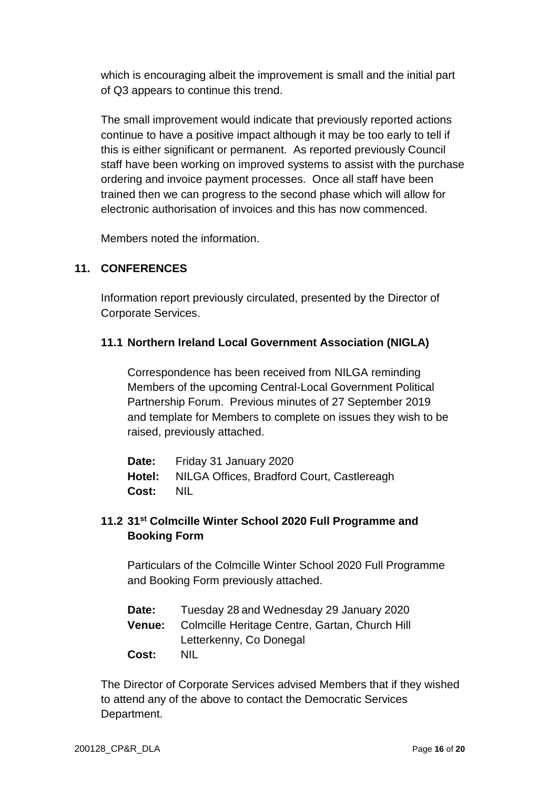which is encouraging albeit the improvement is small and the initial part of Q3 appears to continue this trend.

The small improvement would indicate that previously reported actions continue to have a positive impact although it may be too early to tell if this is either significant or permanent. As reported previously Council staff have been working on improved systems to assist with the purchase ordering and invoice payment processes. Once all staff have been trained then we can progress to the second phase which will allow for electronic authorisation of invoices and this has now commenced.

Members noted the information.

#### **11. CONFERENCES**

Information report previously circulated, presented by the Director of Corporate Services.

#### **11.1 Northern Ireland Local Government Association (NIGLA)**

Correspondence has been received from NILGA reminding Members of the upcoming Central-Local Government Political Partnership Forum. Previous minutes of 27 September 2019 and template for Members to complete on issues they wish to be raised, previously attached.

**Date:** Friday 31 January 2020 **Hotel:** NILGA Offices, Bradford Court, Castlereagh **Cost:** NIL

## **11.2 31st Colmcille Winter School 2020 Full Programme and Booking Form**

Particulars of the Colmcille Winter School 2020 Full Programme and Booking Form previously attached.

| Date: | Tuesday 28 and Wednesday 29 January 2020              |
|-------|-------------------------------------------------------|
|       | Venue: Colmcille Heritage Centre, Gartan, Church Hill |
|       | Letterkenny, Co Donegal                               |
| Cost: | <b>NIL</b>                                            |

The Director of Corporate Services advised Members that if they wished to attend any of the above to contact the Democratic Services Department.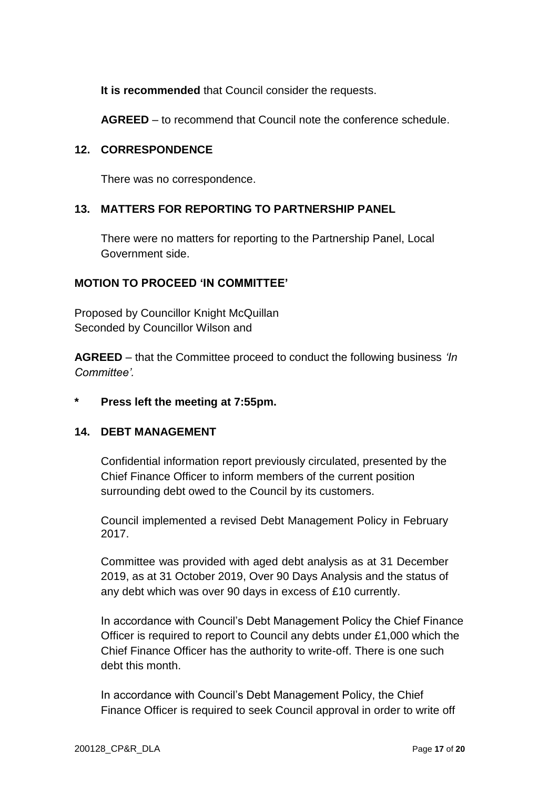**It is recommended** that Council consider the requests.

**AGREED** – to recommend that Council note the conference schedule.

### **12. CORRESPONDENCE**

There was no correspondence.

## **13. MATTERS FOR REPORTING TO PARTNERSHIP PANEL**

There were no matters for reporting to the Partnership Panel, Local Government side.

### **MOTION TO PROCEED 'IN COMMITTEE'**

Proposed by Councillor Knight McQuillan Seconded by Councillor Wilson and

**AGREED** – that the Committee proceed to conduct the following business *'In Committee'.*

## **\* Press left the meeting at 7:55pm.**

## **14. DEBT MANAGEMENT**

Confidential information report previously circulated, presented by the Chief Finance Officer to inform members of the current position surrounding debt owed to the Council by its customers.

Council implemented a revised Debt Management Policy in February 2017.

Committee was provided with aged debt analysis as at 31 December 2019, as at 31 October 2019, Over 90 Days Analysis and the status of any debt which was over 90 days in excess of £10 currently.

In accordance with Council's Debt Management Policy the Chief Finance Officer is required to report to Council any debts under £1,000 which the Chief Finance Officer has the authority to write-off. There is one such debt this month.

In accordance with Council's Debt Management Policy, the Chief Finance Officer is required to seek Council approval in order to write off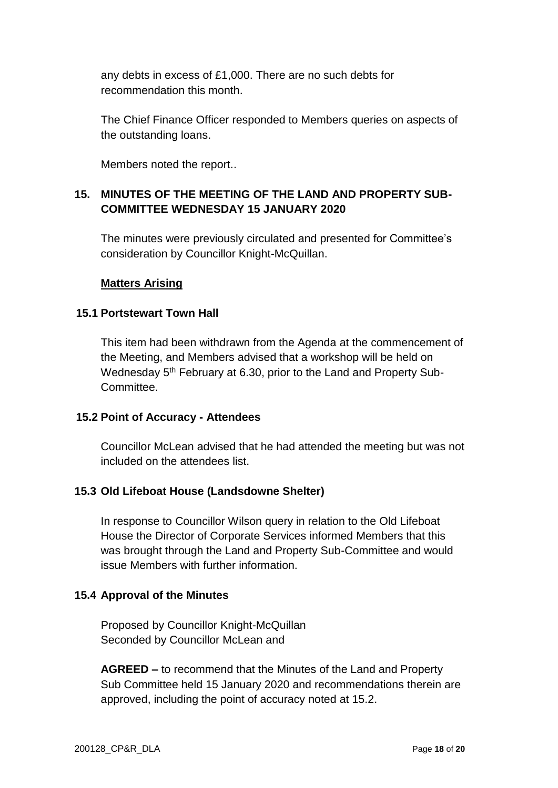any debts in excess of £1,000. There are no such debts for recommendation this month.

The Chief Finance Officer responded to Members queries on aspects of the outstanding loans.

Members noted the report..

## **15. MINUTES OF THE MEETING OF THE LAND AND PROPERTY SUB-COMMITTEE WEDNESDAY 15 JANUARY 2020**

The minutes were previously circulated and presented for Committee's consideration by Councillor Knight-McQuillan.

#### **Matters Arising**

#### **15.1 Portstewart Town Hall**

This item had been withdrawn from the Agenda at the commencement of the Meeting, and Members advised that a workshop will be held on Wednesday 5<sup>th</sup> February at 6.30, prior to the Land and Property Sub-**Committee** 

#### **15.2 Point of Accuracy - Attendees**

Councillor McLean advised that he had attended the meeting but was not included on the attendees list.

#### **15.3 Old Lifeboat House (Landsdowne Shelter)**

In response to Councillor Wilson query in relation to the Old Lifeboat House the Director of Corporate Services informed Members that this was brought through the Land and Property Sub-Committee and would issue Members with further information.

#### **15.4 Approval of the Minutes**

Proposed by Councillor Knight-McQuillan Seconded by Councillor McLean and

**AGREED –** to recommend that the Minutes of the Land and Property Sub Committee held 15 January 2020 and recommendations therein are approved, including the point of accuracy noted at 15.2.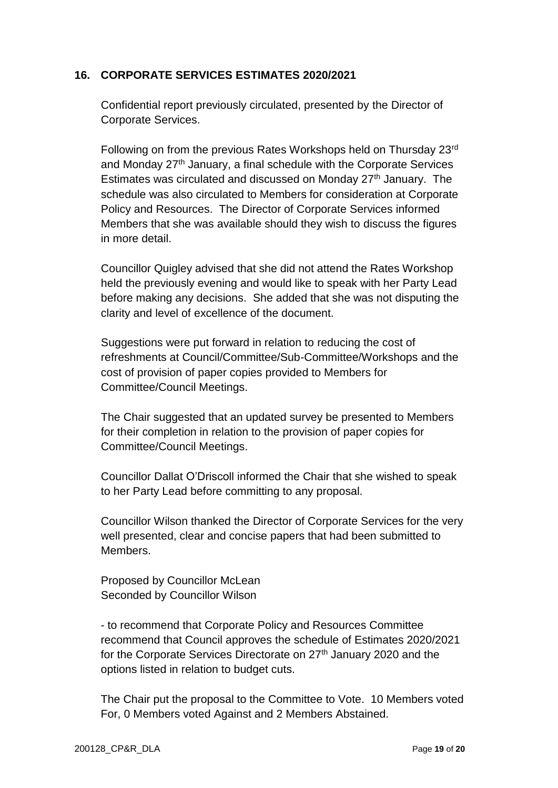### **16. CORPORATE SERVICES ESTIMATES 2020/2021**

Confidential report previously circulated, presented by the Director of Corporate Services.

Following on from the previous Rates Workshops held on Thursday 23rd and Monday 27<sup>th</sup> January, a final schedule with the Corporate Services Estimates was circulated and discussed on Monday 27th January. The schedule was also circulated to Members for consideration at Corporate Policy and Resources. The Director of Corporate Services informed Members that she was available should they wish to discuss the figures in more detail.

Councillor Quigley advised that she did not attend the Rates Workshop held the previously evening and would like to speak with her Party Lead before making any decisions. She added that she was not disputing the clarity and level of excellence of the document.

Suggestions were put forward in relation to reducing the cost of refreshments at Council/Committee/Sub-Committee/Workshops and the cost of provision of paper copies provided to Members for Committee/Council Meetings.

The Chair suggested that an updated survey be presented to Members for their completion in relation to the provision of paper copies for Committee/Council Meetings.

Councillor Dallat O'Driscoll informed the Chair that she wished to speak to her Party Lead before committing to any proposal.

Councillor Wilson thanked the Director of Corporate Services for the very well presented, clear and concise papers that had been submitted to Members.

Proposed by Councillor McLean Seconded by Councillor Wilson

- to recommend that Corporate Policy and Resources Committee recommend that Council approves the schedule of Estimates 2020/2021 for the Corporate Services Directorate on  $27<sup>th</sup>$  January 2020 and the options listed in relation to budget cuts.

The Chair put the proposal to the Committee to Vote. 10 Members voted For, 0 Members voted Against and 2 Members Abstained.